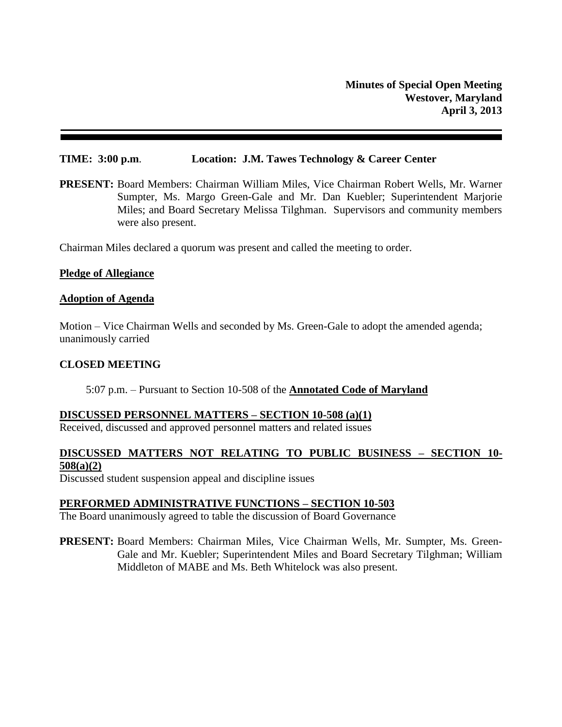### **TIME: 3:00 p.m**. **Location: J.M. Tawes Technology & Career Center**

**PRESENT:** Board Members: Chairman William Miles, Vice Chairman Robert Wells, Mr. Warner Sumpter, Ms. Margo Green-Gale and Mr. Dan Kuebler; Superintendent Marjorie Miles; and Board Secretary Melissa Tilghman. Supervisors and community members were also present.

Chairman Miles declared a quorum was present and called the meeting to order.

### **Pledge of Allegiance**

#### **Adoption of Agenda**

Motion – Vice Chairman Wells and seconded by Ms. Green-Gale to adopt the amended agenda; unanimously carried

### **CLOSED MEETING**

### 5:07 p.m. – Pursuant to Section 10-508 of the **Annotated Code of Maryland**

### **DISCUSSED PERSONNEL MATTERS – SECTION 10-508 (a)(1)**

Received, discussed and approved personnel matters and related issues

## **DISCUSSED MATTERS NOT RELATING TO PUBLIC BUSINESS – SECTION 10- 508(a)(2)**

Discussed student suspension appeal and discipline issues

### **PERFORMED ADMINISTRATIVE FUNCTIONS – SECTION 10-503**

The Board unanimously agreed to table the discussion of Board Governance

**PRESENT:** Board Members: Chairman Miles, Vice Chairman Wells, Mr. Sumpter, Ms. Green-Gale and Mr. Kuebler; Superintendent Miles and Board Secretary Tilghman; William Middleton of MABE and Ms. Beth Whitelock was also present.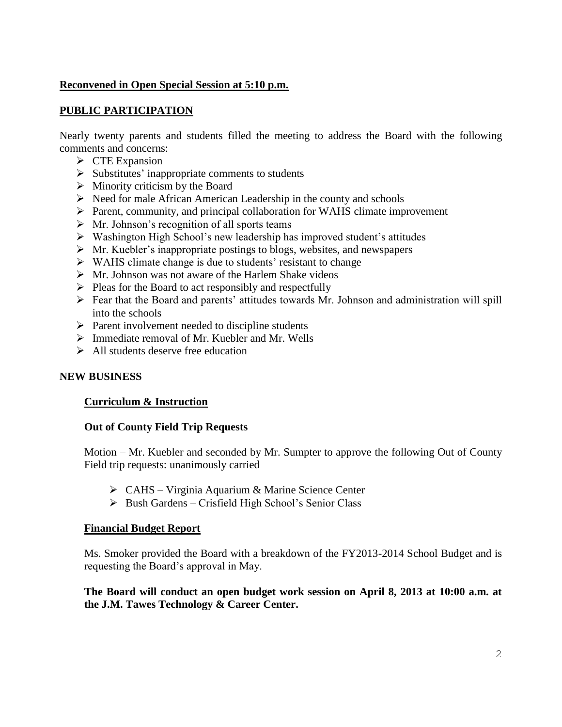# **Reconvened in Open Special Session at 5:10 p.m.**

# **PUBLIC PARTICIPATION**

Nearly twenty parents and students filled the meeting to address the Board with the following comments and concerns:

- $\triangleright$  CTE Expansion
- $\triangleright$  Substitutes' inappropriate comments to students
- $\triangleright$  Minority criticism by the Board
- $\triangleright$  Need for male African American Leadership in the county and schools
- Parent, community, and principal collaboration for WAHS climate improvement
- $\triangleright$  Mr. Johnson's recognition of all sports teams
- Washington High School's new leadership has improved student's attitudes
- $\triangleright$  Mr. Kuebler's inappropriate postings to blogs, websites, and newspapers
- $\triangleright$  WAHS climate change is due to students' resistant to change
- $\triangleright$  Mr. Johnson was not aware of the Harlem Shake videos
- $\triangleright$  Pleas for the Board to act responsibly and respectfully
- Fear that the Board and parents' attitudes towards Mr. Johnson and administration will spill into the schools
- $\triangleright$  Parent involvement needed to discipline students
- Immediate removal of Mr. Kuebler and Mr. Wells
- $\triangleright$  All students deserve free education

# **NEW BUSINESS**

# **Curriculum & Instruction**

# **Out of County Field Trip Requests**

Motion – Mr. Kuebler and seconded by Mr. Sumpter to approve the following Out of County Field trip requests: unanimously carried

- CAHS Virginia Aquarium & Marine Science Center
- $\triangleright$  Bush Gardens Crisfield High School's Senior Class

# **Financial Budget Report**

Ms. Smoker provided the Board with a breakdown of the FY2013-2014 School Budget and is requesting the Board's approval in May.

# **The Board will conduct an open budget work session on April 8, 2013 at 10:00 a.m. at the J.M. Tawes Technology & Career Center.**